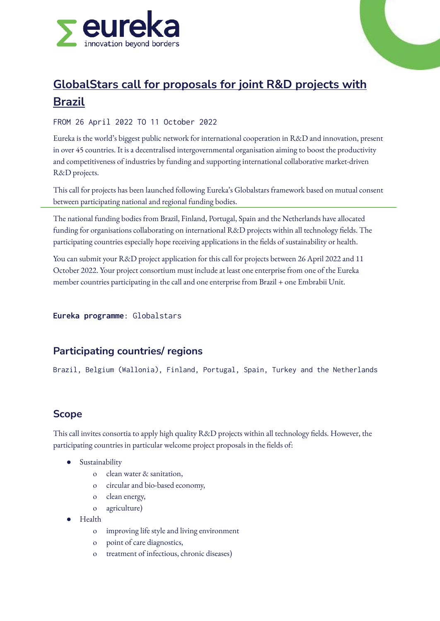

# **GlobalStars call for proposals for joint R&D projects with Brazil**

#### FROM 26 April 2022 TO 11 October 2022

Eureka is the world's biggest public network for international cooperation in R&D and innovation, present in over 45 countries. It is a decentralised intergovernmental organisation aiming to boost the productivity and competitiveness of industries by funding and supporting international collaborative market-driven R&D projects.

This call for projects has been launched following Eureka's Globalstars framework based on mutual consent between participating national and regional funding bodies.

The national funding bodies from Brazil, Finland, Portugal, Spain and the Netherlands have allocated funding for organisations collaborating on international R&D projects within all technology fields. The participating countries especially hope receiving applications in the fields of sustainability or health.

You can submit your R&D project application for this call for projects between 26 April 2022 and 11 October 2022. Your project consortium must include at least one enterprise from one of the Eureka member countries participating in the call and one enterprise from Brazil + one Embrabii Unit.

**Eureka programme**: Globalstars

## **Participating countries/ regions**

Brazil, Belgium (Wallonia), Finland, Portugal, Spain, Turkey and the Netherlands

## **Scope**

This call invites consortia to apply high quality R&D projects within all technology fields. However, the participating countries in particular welcome project proposals in the fields of:

- Sustainability
	- o clean water & sanitation,
	- o circular and bio-based economy,
	- o clean energy,
	- o agriculture)
- Health
	- o improving life style and living environment
	- o point of care diagnostics,
	- o treatment of infectious, chronic diseases)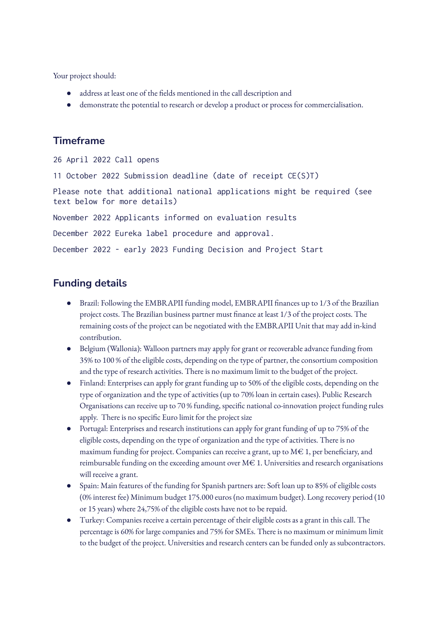Your project should:

- address at least one of the fields mentioned in the call description and
- demonstrate the potential to research or develop a product or process for commercialisation.

## **Timeframe**

```
26 April 2022 Call opens
11 October 2022 Submission deadline (date of receipt CE(S)T)
Please note that additional national applications might be required (see
text below for more details)
November 2022 Applicants informed on evaluation results
December 2022 Eureka label procedure and approval.
December 2022 - early 2023 Funding Decision and Project Start
```
# **Funding details**

- Brazil: Following the EMBRAPII funding model, EMBRAPII finances up to 1/3 of the Brazilian project costs. The Brazilian business partner must finance at least 1/3 of the project costs. The remaining costs of the project can be negotiated with the EMBRAPII Unit that may add in-kind contribution.
- Belgium (Wallonia): Walloon partners may apply for grant or recoverable advance funding from 35% to 100 % of the eligible costs, depending on the type of partner, the consortium composition and the type of research activities. There is no maximum limit to the budget of the project.
- Finland: Enterprises can apply for grant funding up to 50% of the eligible costs, depending on the type of organization and the type of activities (up to 70% loan in certain cases). Public Research Organisations can receive up to 70 % funding, specific national co-innovation project funding rules apply. There is no specific Euro limit for the project size
- Portugal: Enterprises and research institutions can apply for grant funding of up to 75% of the eligible costs, depending on the type of organization and the type of activities. There is no maximum funding for project. Companies can receive a grant, up to  $M \in 1$ , per beneficiary, and reimbursable funding on the exceeding amount over  $M \in 1$ . Universities and research organisations will receive a grant.
- Spain: Main features of the funding for Spanish partners are: Soft loan up to 85% of eligible costs (0% interest fee) Minimum budget 175.000 euros (no maximum budget). Long recovery period (10 or 15 years) where 24,75% of the eligible costs have not to be repaid.
- Turkey: Companies receive a certain percentage of their eligible costs as a grant in this call. The percentage is 60% for large companies and 75% for SMEs. There is no maximum or minimum limit to the budget of the project. Universities and research centers can be funded only as subcontractors.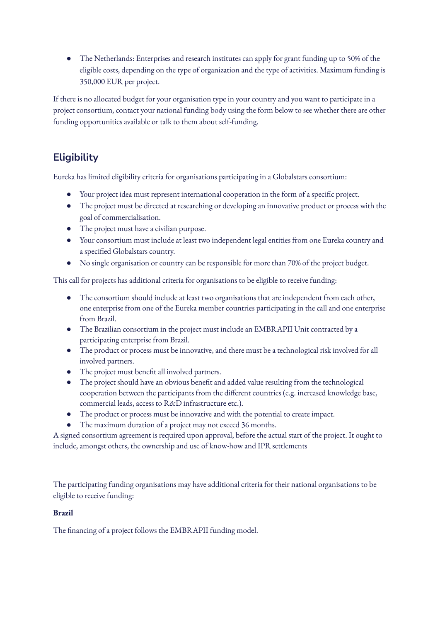The Netherlands: Enterprises and research institutes can apply for grant funding up to 50% of the eligible costs, depending on the type of organization and the type of activities. Maximum funding is 350,000 EUR per project.

If there is no allocated budget for your organisation type in your country and you want to participate in a project consortium, contact your national funding body using the form below to see whether there are other funding opportunities available or talk to them about self-funding.

# **Eligibility**

Eureka has limited eligibility criteria for organisations participating in a Globalstars consortium:

- Your project idea must represent international cooperation in the form of a specific project.
- The project must be directed at researching or developing an innovative product or process with the goal of commercialisation.
- The project must have a civilian purpose.
- Your consortium must include at least two independent legal entities from one Eureka country and a specified Globalstars country.
- No single organisation or country can be responsible for more than 70% of the project budget.

This call for projects has additional criteria for organisations to be eligible to receive funding:

- The consortium should include at least two organisations that are independent from each other, one enterprise from one of the Eureka member countries participating in the call and one enterprise from Brazil.
- The Brazilian consortium in the project must include an EMBRAPII Unit contracted by a participating enterprise from Brazil.
- The product or process must be innovative, and there must be a technological risk involved for all involved partners.
- The project must benefit all involved partners.
- The project should have an obvious benefit and added value resulting from the technological cooperation between the participants from the different countries (e.g. increased knowledge base, commercial leads, access to R&D infrastructure etc.).
- The product or process must be innovative and with the potential to create impact.
- The maximum duration of a project may not exceed 36 months.

A signed consortium agreement is required upon approval, before the actual start of the project. It ought to include, amongst others, the ownership and use of know-how and IPR settlements

The participating funding organisations may have additional criteria for their national organisations to be eligible to receive funding:

#### **Brazil**

The financing of a project follows the EMBRAPII funding model.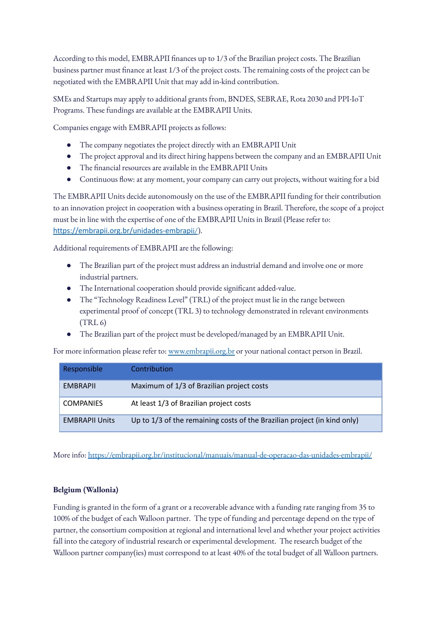According to this model, EMBRAPII finances up to 1/3 of the Brazilian project costs. The Brazilian business partner must finance at least 1/3 of the project costs. The remaining costs of the project can be negotiated with the EMBRAPII Unit that may add in-kind contribution.

SMEs and Startups may apply to additional grants from, BNDES, SEBRAE, Rota 2030 and PPI-IoT Programs. These fundings are available at the EMBRAPII Units.

Companies engage with EMBRAPII projects as follows:

- The company negotiates the project directly with an EMBRAPII Unit
- The project approval and its direct hiring happens between the company and an EMBRAPII Unit
- The financial resources are available in the EMBRAPII Units
- Continuous flow: at any moment, your company can carry out projects, without waiting for a bid

The EMBRAPII Units decide autonomously on the use of the EMBRAPII funding for their contribution to an innovation project in cooperation with a business operating in Brazil. Therefore, the scope of a project must be in line with the expertise of one of the EMBRAPII Units in Brazil (Please refer to: [https://embrapii.org.br/unidades-embrapi](https://embrapii.org.br/unidades-embrapii/)i/).

Additional requirements of EMBRAPII are the following:

- The Brazilian part of the project must address an industrial demand and involve one or more industrial partners.
- The International cooperation should provide significant added-value.
- The "Technology Readiness Level" (TRL) of the project must lie in the range between experimental proof of concept (TRL 3) to technology demonstrated in relevant environments  $(TRL 6)$
- The Brazilian part of the project must be developed/managed by an EMBRAPII Unit.

For more information please refer to: [www.embrapii.org.br](http://www.embrapii.org.br) or your national contact person in Brazil.

| Responsible           | Contribution                                                             |
|-----------------------|--------------------------------------------------------------------------|
| <b>FMBRAPIL</b>       | Maximum of 1/3 of Brazilian project costs                                |
| <b>COMPANIES</b>      | At least 1/3 of Brazilian project costs                                  |
| <b>EMBRAPII Units</b> | Up to 1/3 of the remaining costs of the Brazilian project (in kind only) |

More info: <https://embrapii.org.br/institucional/manuais/manual-de-operacao-das-unidades-embrapii/>

#### **Belgium (Wallonia)**

Funding is granted in the form of a grant or a recoverable advance with a funding rate ranging from 35 to 100% of the budget of each Walloon partner. The type of funding and percentage depend on the type of partner, the consortium composition at regional and international level and whether your project activities fall into the category of industrial research or experimental development. The research budget of the Walloon partner company(ies) must correspond to at least 40% of the total budget of all Walloon partners.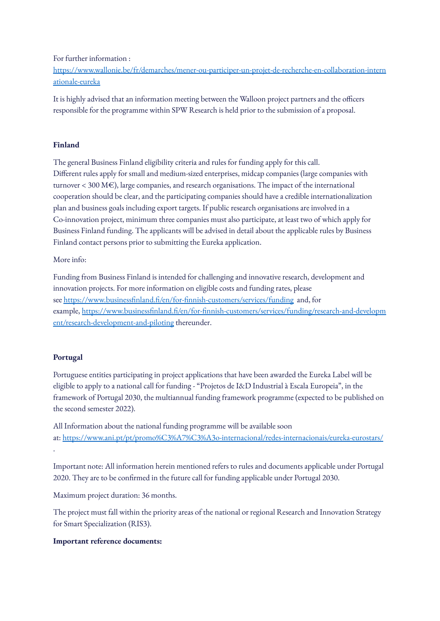For further information :

[https://www.wallonie.be/fr/demarches/mener-ou-participer-un-projet-de-recherche-en-collaboration-intern](https://www.wallonie.be/fr/demarches/mener-ou-participer-un-projet-de-recherche-en-collaboration-internationale-eureka) [ationale-eureka](https://www.wallonie.be/fr/demarches/mener-ou-participer-un-projet-de-recherche-en-collaboration-internationale-eureka)

It is highly advised that an information meeting between the Walloon project partners and the officers responsible for the programme within SPW Research is held prior to the submission of a proposal.

#### **Finland**

The general Business Finland eligibility criteria and rules for funding apply for this call. Different rules apply for small and medium-sized enterprises, midcap companies (large companies with turnover < 300 M€), large companies, and research organisations. The impact of the international cooperation should be clear, and the participating companies should have a credible internationalization plan and business goals including export targets. If public research organisations are involved in a Co-innovation project, minimum three companies must also participate, at least two of which apply for Business Finland funding. The applicants will be advised in detail about the applicable rules by Business Finland contact persons prior to submitting the Eureka application.

More info:

Funding from Business Finland is intended for challenging and innovative research, development and innovation projects. For more information on eligible costs and funding rates, please see <https://www.businessfinland.fi/en/for-finnish-customers/services/funding> and, for example, [https://www.businessfinland.fi/en/for-finnish-customers/services/funding/research-and-developm](https://www.businessfinland.fi/en/for-finnish-customers/services/funding/research-and-development/research-development-and-piloting) [ent/research-development-and-piloting](https://www.businessfinland.fi/en/for-finnish-customers/services/funding/research-and-development/research-development-and-piloting) thereunder.

#### **Portugal**

.

Portuguese entities participating in project applications that have been awarded the Eureka Label will be eligible to apply to a national call for funding - "Projetos de I&D Industrial à Escala Europeia", in the framework of Portugal 2030, the multiannual funding framework programme (expected to be published on the second semester 2022).

All Information about the national funding programme will be available soon at: <https://www.ani.pt/pt/promo%C3%A7%C3%A3o-internacional/redes-internacionais/eureka-eurostars/>

Important note: All information herein mentioned refers to rules and documents applicable under Portugal 2020. They are to be confirmed in the future call for funding applicable under Portugal 2030.

Maximum project duration: 36 months.

The project must fall within the priority areas of the national or regional Research and Innovation Strategy for Smart Specialization (RIS3).

#### **Important reference documents:**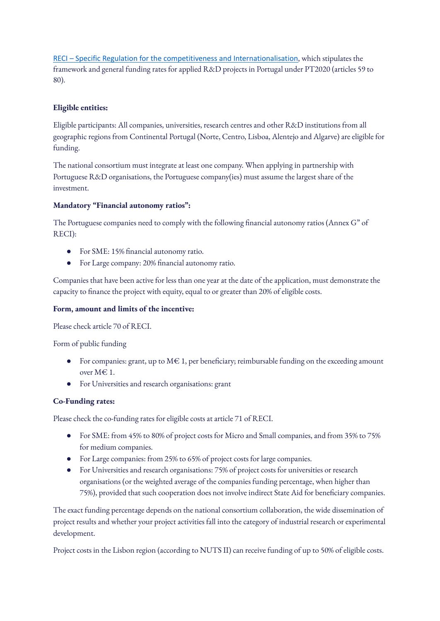RECI – Specific Regulation for the competitiveness and [Internationalisation](https://www.compete2020.gov.pt/admin/images/RECI_n.docx.pdf), which stipulates the framework and general funding rates for applied R&D projects in Portugal under PT2020 (articles 59 to 80).

#### **Eligible entities:**

Eligible participants: All companies, universities, research centres and other R&D institutions from all geographic regions from Continental Portugal (Norte, Centro, Lisboa, Alentejo and Algarve) are eligible for funding.

The national consortium must integrate at least one company. When applying in partnership with Portuguese R&D organisations, the Portuguese company(ies) must assume the largest share of the investment.

#### **Mandatory "Financial autonomy ratios":**

The Portuguese companies need to comply with the following financial autonomy ratios (Annex G" of RECI):

- For SME: 15% financial autonomy ratio.
- For Large company: 20% financial autonomy ratio.

Companies that have been active for less than one year at the date of the application, must demonstrate the capacity to finance the project with equity, equal to or greater than 20% of eligible costs.

#### **Form, amount and limits of the incentive:**

Please check article 70 of RECI.

Form of public funding

- $\bullet$  For companies: grant, up to M $\in$  1, per beneficiary; reimbursable funding on the exceeding amount over M€ 1.
- For Universities and research organisations: grant

#### **Co-Funding rates:**

Please check the co-funding rates for eligible costs at article 71 of RECI.

- For SME: from 45% to 80% of project costs for Micro and Small companies, and from 35% to 75% for medium companies.
- For Large companies: from 25% to 65% of project costs for large companies.
- For Universities and research organisations: 75% of project costs for universities or research organisations (or the weighted average of the companies funding percentage, when higher than 75%), provided that such cooperation does not involve indirect State Aid for beneficiary companies.

The exact funding percentage depends on the national consortium collaboration, the wide dissemination of project results and whether your project activities fall into the category of industrial research or experimental development.

Project costs in the Lisbon region (according to NUTS II) can receive funding of up to 50% of eligible costs.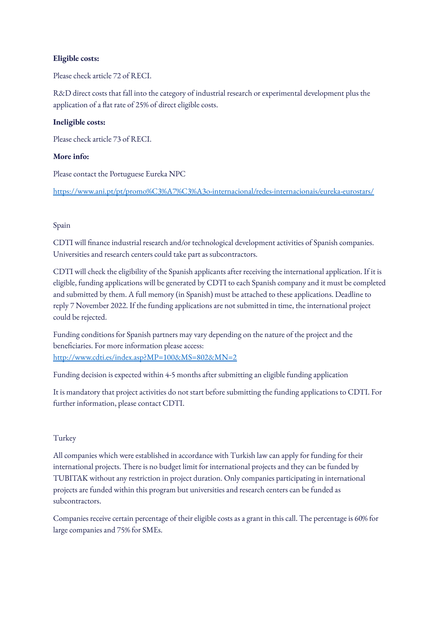#### **Eligible costs:**

Please check article 72 of RECI.

R&D direct costs that fall into the category of industrial research or experimental development plus the application of a flat rate of 25% of direct eligible costs.

#### **Ineligible costs:**

Please check article 73 of RECI.

#### **More info:**

Please contact the Portuguese Eureka NPC

<https://www.ani.pt/pt/promo%C3%A7%C3%A3o-internacional/redes-internacionais/eureka-eurostars/>

#### Spain

CDTI will finance industrial research and/or technological development activities of Spanish companies. Universities and research centers could take part as subcontractors.

CDTI will check the eligibility of the Spanish applicants after receiving the international application. If it is eligible, funding applications will be generated by CDTI to each Spanish company and it must be completed and submitted by them. A full memory (in Spanish) must be attached to these applications. Deadline to reply 7 November 2022. If the funding applications are not submitted in time, the international project could be rejected.

Funding conditions for Spanish partners may vary depending on the nature of the project and the beneficiaries. For more information please access: <http://www.cdti.es/index.asp?MP=100&MS=802&MN=2>

Funding decision is expected within 4-5 months after submitting an eligible funding application

It is mandatory that project activities do not start before submitting the funding applications to CDTI. For further information, please contact CDTI.

#### Turkey

All companies which were established in accordance with Turkish law can apply for funding for their international projects. There is no budget limit for international projects and they can be funded by TUBITAK without any restriction in project duration. Only companies participating in international projects are funded within this program but universities and research centers can be funded as subcontractors.

Companies receive certain percentage of their eligible costs as a grant in this call. The percentage is 60% for large companies and 75% for SMEs.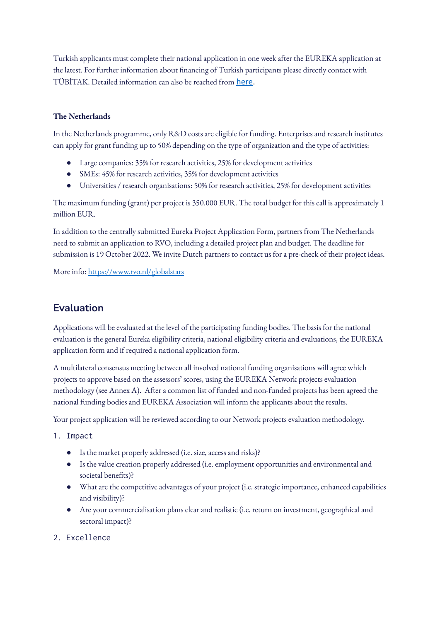Turkish applicants must complete their national application in one week after the EUREKA application at the latest. For further information about financing of Turkish participants please directly contact with TÜBİTAK. Detailed information can also be reached from [here.](https://tubitak.gov.tr/tr/destekler/sanayi/uluslararasi-ortakli-destek-programlari/1509/icerik-yonetmelik-ve-esaslar)

#### **The Netherlands**

In the Netherlands programme, only R&D costs are eligible for funding. Enterprises and research institutes can apply for grant funding up to 50% depending on the type of organization and the type of activities:

- Large companies: 35% for research activities, 25% for development activities
- SMEs: 45% for research activities, 35% for development activities
- Universities / research organisations: 50% for research activities, 25% for development activities

The maximum funding (grant) per project is 350.000 EUR. The total budget for this call is approximately 1 million EUR.

In addition to the centrally submitted Eureka Project Application Form, partners from The Netherlands need to submit an application to RVO, including a detailed project plan and budget. The deadline for submission is 19 October 2022. We invite Dutch partners to contact us for a pre-check of their project ideas.

More info: <https://www.rvo.nl/globalstars>

## **Evaluation**

Applications will be evaluated at the level of the participating funding bodies. The basis for the national evaluation is the general Eureka eligibility criteria, national eligibility criteria and evaluations, the EUREKA application form and if required a national application form.

A multilateral consensus meeting between all involved national funding organisations will agree which projects to approve based on the assessors' scores, using the EUREKA Network projects evaluation methodology (see Annex A). After a common list of funded and non-funded projects has been agreed the national funding bodies and EUREKA Association will inform the applicants about the results.

Your project application will be reviewed according to our Network projects evaluation methodology.

- 1. Impact
	- Is the market properly addressed (i.e. size, access and risks)?
	- Is the value creation properly addressed (i.e. employment opportunities and environmental and societal benefits)?
	- What are the competitive advantages of your project (i.e. strategic importance, enhanced capabilities and visibility)?
	- Are your commercialisation plans clear and realistic (i.e. return on investment, geographical and sectoral impact)?
- 2. Excellence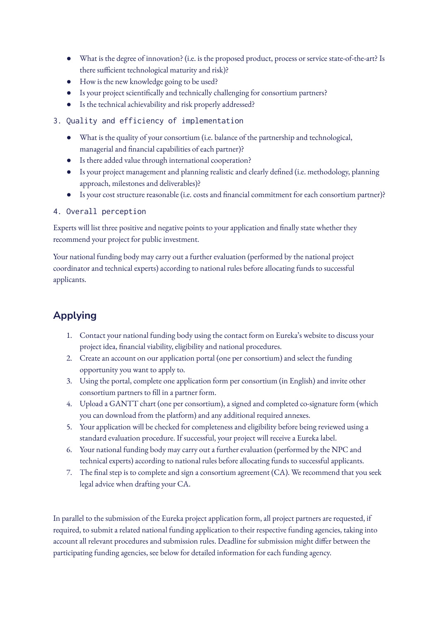- What is the degree of innovation? (i.e. is the proposed product, process or service state-of-the-art? Is there sufficient technological maturity and risk)?
- How is the new knowledge going to be used?
- Is your project scientifically and technically challenging for consortium partners?
- Is the technical achievability and risk properly addressed?
- 3. Quality and efficiency of implementation
	- What is the quality of your consortium (i.e. balance of the partnership and technological, managerial and financial capabilities of each partner)?
	- Is there added value through international cooperation?
	- Is your project management and planning realistic and clearly defined (i.e. methodology, planning approach, milestones and deliverables)?
	- Is your cost structure reasonable (i.e. costs and financial commitment for each consortium partner)?

#### 4. Overall perception

Experts will list three positive and negative points to your application and finally state whether they recommend your project for public investment.

Your national funding body may carry out a further evaluation (performed by the national project coordinator and technical experts) according to national rules before allocating funds to successful applicants.

# **Applying**

- 1. Contact your national funding body using the contact form on Eureka's website to discuss your project idea, financial viability, eligibility and national procedures.
- 2. Create an account on our application portal (one per consortium) and select the funding opportunity you want to apply to.
- 3. Using the portal, complete one application form per consortium (in English) and invite other consortium partners to fill in a partner form.
- 4. Upload a GANTT chart (one per consortium), a signed and completed co-signature form (which you can download from the platform) and any additional required annexes.
- 5. Your application will be checked for completeness and eligibility before being reviewed using a standard evaluation procedure. If successful, your project will receive a Eureka label.
- 6. Your national funding body may carry out a further evaluation (performed by the NPC and technical experts) according to national rules before allocating funds to successful applicants.
- 7. The final step is to complete and sign a consortium agreement (CA). We recommend that you seek legal advice when drafting your CA.

In parallel to the submission of the Eureka project application form, all project partners are requested, if required, to submit a related national funding application to their respective funding agencies, taking into account all relevant procedures and submission rules. Deadline for submission might differ between the participating funding agencies, see below for detailed information for each funding agency.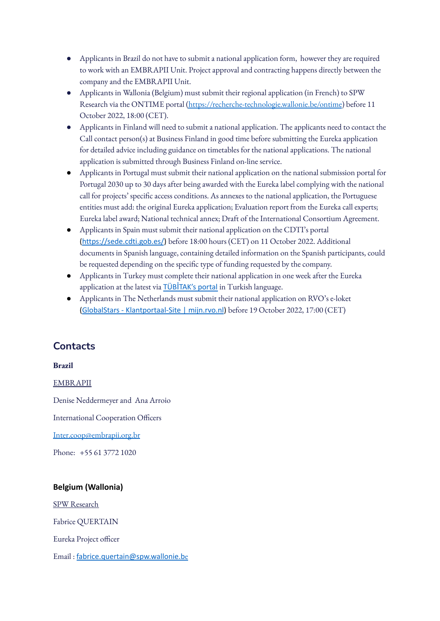- Applicants in Brazil do not have to submit a national application form, however they are required to work with an EMBRAPII Unit. Project approval and contracting happens directly between the company and the EMBRAPII Unit.
- Applicants in Wallonia (Belgium) must submit their regional application (in French) to SPW Research via the ONTIME portal [\(https://recherche-technologie.wallonie.be/ontime](https://recherche-technologie.wallonie.be/ontime)) before 11 October 2022, 18:00 (CET).
- Applicants in Finland will need to submit a national application. The applicants need to contact the Call contact person(s) at Business Finland in good time before submitting the Eureka application for detailed advice including guidance on timetables for the national applications. The national application is submitted through Business Finland on-line service.
- Applicants in Portugal must submit their national application on the national submission portal for Portugal 2030 up to 30 days after being awarded with the Eureka label complying with the national call for projects' specific access conditions. As annexes to the national application, the Portuguese entities must add: the original Eureka application; Evaluation report from the Eureka call experts; Eureka label award; National technical annex; Draft of the International Consortium Agreement.
- Applicants in Spain must submit their national application on the CDTI's portal [\(https://sede.cdti.gob.es/](https://sede.cdti.gob.es/)) before 18:00 hours (CET) on 11 October 2022. Additional documents in Spanish language, containing detailed information on the Spanish participants, could be requested depending on the specific type of funding requested by the company.
- Applicants in Turkey must complete their national application in one week after the Eureka application at the latest via **TÜBİTAK's [portal](https://eteydeb.tubitak.gov.tr/teydebanasayfa.htm)** in Turkish language.
- Applicants in The Netherlands must submit their national application on RVO's e-loket (GlobalStars - [Klantportaal-Site](https://mijn.rvo.nl/globalstars) | mijn.rvo.nl) before 19 October 2022, 17:00 (CET)

# **Contacts**

#### **Brazil**

EMBRAPII

Denise Neddermeyer and Ana Arroio

International Cooperation Officers

[Inter.coop@embrapii.org.br](mailto:Inter.coop@embrapii.org.br)

Phone: +55 61 3772 1020

#### **Belgium (Wallonia)**

SPW Research Fabrice QUERTAIN Eureka Project officer Email : [fabrice.quertain@spw.wallonie.b](mailto:fabrice.quertain@spw.wallonie.be)e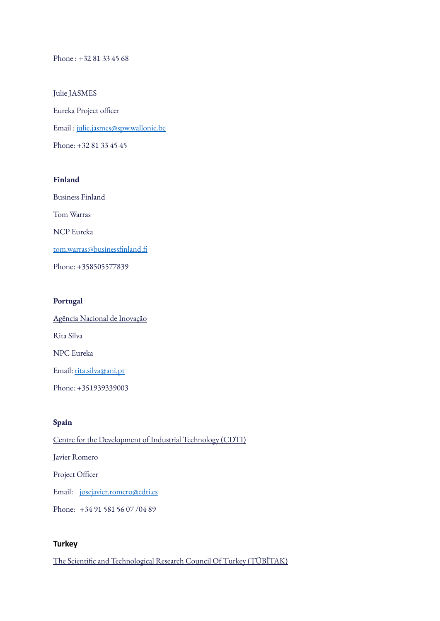Phone : +32 81 33 45 68

Julie JASMES Eureka Project officer Email : [julie.jasmes@spw.wallonie.be](mailto:julie.jasmes@spw.wallonie.be) Phone: +32 81 33 45 45

#### **Finland**

Business Finland Tom Warras NCP Eureka [tom.warras@businessfinland.fi](mailto:tom.warras@businessfinland.fi) Phone: +358505577839

#### **Portugal**

Agência Nacional de Inovação Rita Silva NPC Eureka Email: [rita.silva@ani.pt](mailto:rita.silva@ani.pt) Phone: +351939339003

#### **Spain**

Centre for the Development of Industrial Technology (CDTI) Javier Romero Project Officer Email: [josejavier.romero@cdti.es](mailto:josejavier.romero@cdti.es) Phone: +34 91 581 56 07 /04 89

#### **Turkey**

The Scientific and Technological Research Council Of Turkey (TÜBİTAK)